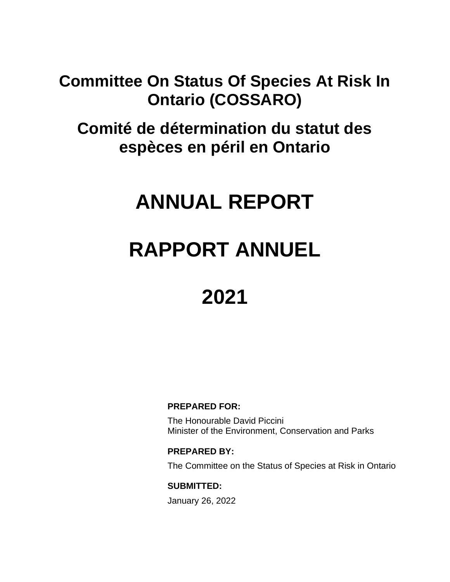### **Committee On Status Of Species At Risk In Ontario (COSSARO)**

**Comité de détermination du statut des espèces en péril en Ontario**

## **ANNUAL REPORT**

# **RAPPORT ANNUEL**

### **2021**

#### **PREPARED FOR:**

The Honourable David Piccini Minister of the Environment, Conservation and Parks

#### **PREPARED BY:**

The Committee on the Status of Species at Risk in Ontario

#### **SUBMITTED:**

January 26, 2022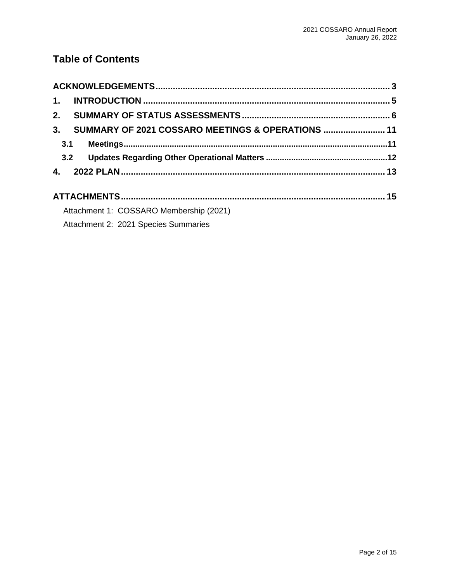### **Table of Contents**

| 1.                                                      |  |
|---------------------------------------------------------|--|
|                                                         |  |
| 3.<br>SUMMARY OF 2021 COSSARO MEETINGS & OPERATIONS  11 |  |
| 3.1                                                     |  |
| 3.2                                                     |  |
|                                                         |  |
|                                                         |  |
| Attachment 1: COSSARO Membership (2021)                 |  |
| Attachment 2: 2021 Species Summaries                    |  |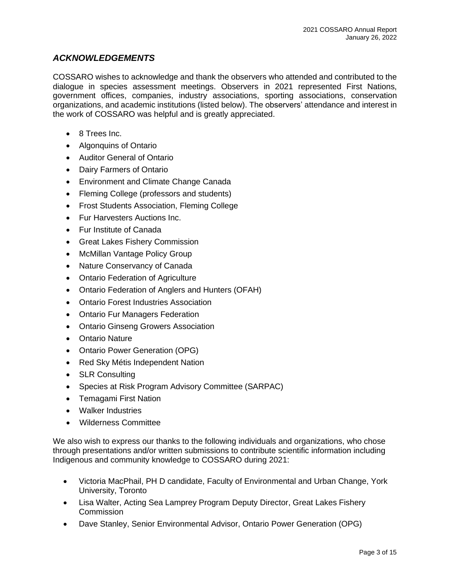#### <span id="page-2-0"></span>*ACKNOWLEDGEMENTS*

COSSARO wishes to acknowledge and thank the observers who attended and contributed to the dialogue in species assessment meetings. Observers in 2021 represented First Nations, government offices, companies, industry associations, sporting associations, conservation organizations, and academic institutions (listed below). The observers' attendance and interest in the work of COSSARO was helpful and is greatly appreciated.

- 8 Trees Inc.
- Algonquins of Ontario
- Auditor General of Ontario
- Dairy Farmers of Ontario
- Environment and Climate Change Canada
- Fleming College (professors and students)
- Frost Students Association, Fleming College
- Fur Harvesters Auctions Inc.
- Fur Institute of Canada
- Great Lakes Fishery Commission
- McMillan Vantage Policy Group
- Nature Conservancy of Canada
- Ontario Federation of Agriculture
- Ontario Federation of Anglers and Hunters (OFAH)
- Ontario Forest Industries Association
- Ontario Fur Managers Federation
- Ontario Ginseng Growers Association
- Ontario Nature
- Ontario Power Generation (OPG)
- Red Sky Métis Independent Nation
- **SLR Consulting**
- Species at Risk Program Advisory Committee (SARPAC)
- Temagami First Nation
- Walker Industries
- Wilderness Committee

We also wish to express our thanks to the following individuals and organizations, who chose through presentations and/or written submissions to contribute scientific information including Indigenous and community knowledge to COSSARO during 2021:

- Victoria MacPhail, PH D candidate, Faculty of Environmental and Urban Change, York University, Toronto
- Lisa Walter, Acting Sea Lamprey Program Deputy Director, Great Lakes Fishery Commission
- Dave Stanley, Senior Environmental Advisor, Ontario Power Generation (OPG)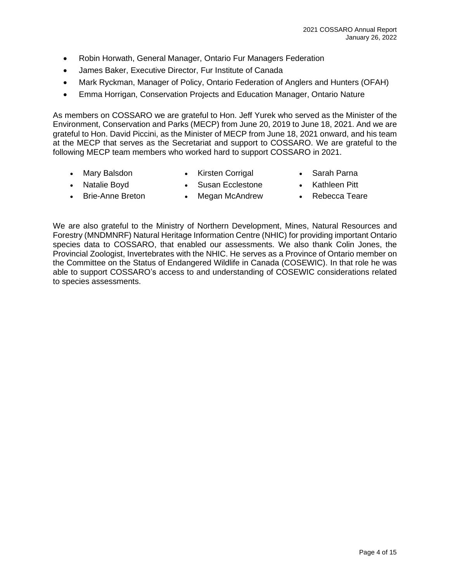- Robin Horwath, General Manager, Ontario Fur Managers Federation
- James Baker, Executive Director, Fur Institute of Canada
- Mark Ryckman, Manager of Policy, Ontario Federation of Anglers and Hunters (OFAH)
- Emma Horrigan, Conservation Projects and Education Manager, Ontario Nature

As members on COSSARO we are grateful to Hon. Jeff Yurek who served as the Minister of the Environment, Conservation and Parks (MECP) from June 20, 2019 to June 18, 2021. And we are grateful to Hon. David Piccini, as the Minister of MECP from June 18, 2021 onward, and his team at the MECP that serves as the Secretariat and support to COSSARO. We are grateful to the following MECP team members who worked hard to support COSSARO in 2021.

- Mary Balsdon
- Kirsten Corrigal
- Sarah Parna
- Natalie Boyd
- Susan Ecclestone
- Kathleen Pitt
- Brie-Anne Breton
- Megan McAndrew
- Rebecca Teare
- 

We are also grateful to the Ministry of Northern Development, Mines, Natural Resources and Forestry (MNDMNRF) Natural Heritage Information Centre (NHIC) for providing important Ontario species data to COSSARO, that enabled our assessments. We also thank Colin Jones, the Provincial Zoologist, Invertebrates with the NHIC. He serves as a Province of Ontario member on the Committee on the Status of Endangered Wildlife in Canada (COSEWIC). In that role he was able to support COSSARO's access to and understanding of COSEWIC considerations related to species assessments.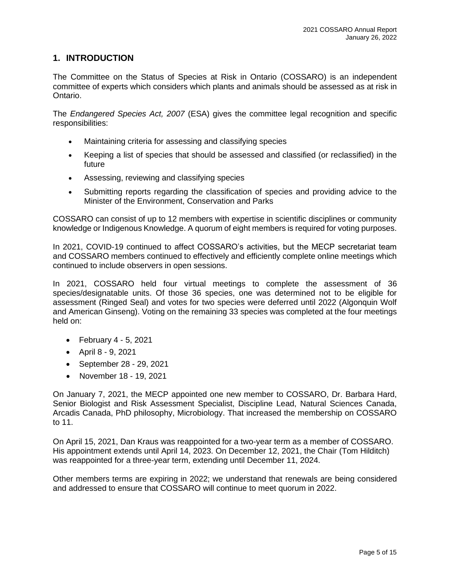#### <span id="page-4-0"></span>**1. INTRODUCTION**

The Committee on the Status of Species at Risk in Ontario (COSSARO) is an independent committee of experts which considers which plants and animals should be assessed as at risk in Ontario.

The *Endangered Species Act, 2007* (ESA) gives the committee legal recognition and specific responsibilities:

- Maintaining criteria for assessing and classifying species
- Keeping a list of species that should be assessed and classified (or reclassified) in the future
- Assessing, reviewing and classifying species
- Submitting reports regarding the classification of species and providing advice to the Minister of the Environment, Conservation and Parks

COSSARO can consist of up to 12 members with expertise in scientific disciplines or community knowledge or Indigenous Knowledge. A quorum of eight members is required for voting purposes.

In 2021, COVID-19 continued to affect COSSARO's activities, but the MECP secretariat team and COSSARO members continued to effectively and efficiently complete online meetings which continued to include observers in open sessions.

In 2021, COSSARO held four virtual meetings to complete the assessment of 36 species/designatable units. Of those 36 species, one was determined not to be eligible for assessment (Ringed Seal) and votes for two species were deferred until 2022 (Algonquin Wolf and American Ginseng). Voting on the remaining 33 species was completed at the four meetings held on:

- February 4 5, 2021
- April 8 9, 2021
- September 28 29, 2021
- November 18 19, 2021

On January 7, 2021, the MECP appointed one new member to COSSARO, Dr. Barbara Hard, Senior Biologist and Risk Assessment Specialist, Discipline Lead, Natural Sciences Canada, Arcadis Canada, PhD philosophy, Microbiology. That increased the membership on COSSARO to 11.

On April 15, 2021, Dan Kraus was reappointed for a two-year term as a member of COSSARO. His appointment extends until April 14, 2023. On December 12, 2021, the Chair (Tom Hilditch) was reappointed for a three-year term, extending until December 11, 2024.

Other members terms are expiring in 2022; we understand that renewals are being considered and addressed to ensure that COSSARO will continue to meet quorum in 2022.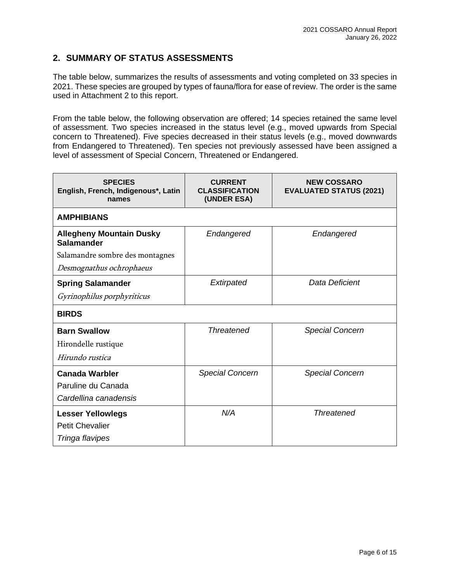#### <span id="page-5-0"></span>**2. SUMMARY OF STATUS ASSESSMENTS**

The table below, summarizes the results of assessments and voting completed on 33 species in 2021. These species are grouped by types of fauna/flora for ease of review. The order is the same used in Attachment 2 to this report.

From the table below, the following observation are offered; 14 species retained the same level of assessment. Two species increased in the status level (e.g., moved upwards from Special concern to Threatened). Five species decreased in their status levels (e.g., moved downwards from Endangered to Threatened). Ten species not previously assessed have been assigned a level of assessment of Special Concern, Threatened or Endangered.

| <b>SPECIES</b><br>English, French, Indigenous*, Latin<br>names | <b>CURRENT</b><br><b>CLASSIFICATION</b><br>(UNDER ESA) | <b>NEW COSSARO</b><br><b>EVALUATED STATUS (2021)</b> |
|----------------------------------------------------------------|--------------------------------------------------------|------------------------------------------------------|
| <b>AMPHIBIANS</b>                                              |                                                        |                                                      |
| <b>Allegheny Mountain Dusky</b><br><b>Salamander</b>           | Endangered                                             | Endangered                                           |
| Salamandre sombre des montagnes                                |                                                        |                                                      |
| Desmognathus ochrophaeus                                       |                                                        |                                                      |
| <b>Spring Salamander</b>                                       | Extirpated                                             | Data Deficient                                       |
| Gyrinophilus porphyriticus                                     |                                                        |                                                      |
| <b>BIRDS</b>                                                   |                                                        |                                                      |
| <b>Barn Swallow</b>                                            | <b>Threatened</b>                                      | <b>Special Concern</b>                               |
| Hirondelle rustique                                            |                                                        |                                                      |
| Hirundo rustica                                                |                                                        |                                                      |
| <b>Canada Warbler</b>                                          | <b>Special Concern</b>                                 | <b>Special Concern</b>                               |
| Paruline du Canada                                             |                                                        |                                                      |
| Cardellina canadensis                                          |                                                        |                                                      |
| <b>Lesser Yellowlegs</b>                                       | N/A                                                    | <b>Threatened</b>                                    |
| <b>Petit Chevalier</b>                                         |                                                        |                                                      |
| Tringa flavipes                                                |                                                        |                                                      |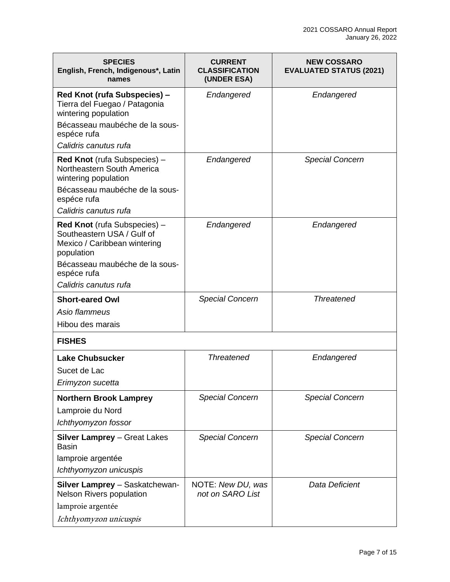| <b>SPECIES</b><br>English, French, Indigenous*, Latin<br>names                                                                                                                     | <b>CURRENT</b><br><b>CLASSIFICATION</b><br>(UNDER ESA) | <b>NEW COSSARO</b><br><b>EVALUATED STATUS (2021)</b> |
|------------------------------------------------------------------------------------------------------------------------------------------------------------------------------------|--------------------------------------------------------|------------------------------------------------------|
| Red Knot (rufa Subspecies) -<br>Tierra del Fuegao / Patagonia<br>wintering population<br>Bécasseau maubéche de la sous-<br>espéce rufa<br>Calidris canutus rufa                    | Endangered                                             | Endangered                                           |
| Red Knot (rufa Subspecies) -<br>Northeastern South America<br>wintering population<br>Bécasseau maubéche de la sous-<br>espéce rufa<br>Calidris canutus rufa                       | Endangered                                             | <b>Special Concern</b>                               |
| Red Knot (rufa Subspecies) -<br>Southeastern USA / Gulf of<br>Mexico / Caribbean wintering<br>population<br>Bécasseau maubéche de la sous-<br>espéce rufa<br>Calidris canutus rufa | Endangered                                             | Endangered                                           |
| <b>Short-eared Owl</b><br>Asio flammeus<br>Hibou des marais                                                                                                                        | <b>Special Concern</b>                                 | <b>Threatened</b>                                    |
| <b>FISHES</b>                                                                                                                                                                      |                                                        |                                                      |
| <b>Lake Chubsucker</b><br>Sucet de Lac<br>Erimyzon sucetta                                                                                                                         | <b>Threatened</b>                                      | Endangered                                           |
| <b>Northern Brook Lamprey</b><br>Lamproie du Nord<br>Ichthyomyzon fossor                                                                                                           | <b>Special Concern</b>                                 | <b>Special Concern</b>                               |
| <b>Silver Lamprey - Great Lakes</b><br>Basin<br>lamproie argentée<br>Ichthyomyzon unicuspis                                                                                        | <b>Special Concern</b>                                 | <b>Special Concern</b>                               |
| Silver Lamprey - Saskatchewan-<br><b>Nelson Rivers population</b><br>lamproie argentée<br>Ichthyomyzon unicuspis                                                                   | NOTE: New DU, was<br>not on SARO List                  | Data Deficient                                       |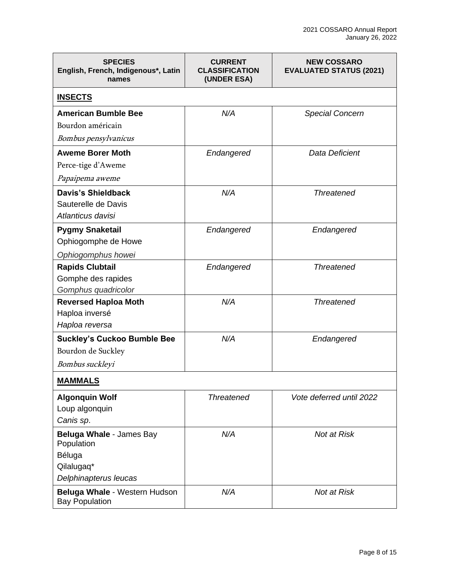| <b>SPECIES</b><br>English, French, Indigenous*, Latin<br>names                          | <b>CURRENT</b><br><b>CLASSIFICATION</b><br>(UNDER ESA) | <b>NEW COSSARO</b><br><b>EVALUATED STATUS (2021)</b> |
|-----------------------------------------------------------------------------------------|--------------------------------------------------------|------------------------------------------------------|
| <b>INSECTS</b>                                                                          |                                                        |                                                      |
| <b>American Bumble Bee</b><br>Bourdon américain<br>Bombus pensylvanicus                 | N/A                                                    | <b>Special Concern</b>                               |
| <b>Aweme Borer Moth</b><br>Perce-tige d'Aweme<br>Papaipema aweme                        | Endangered                                             | Data Deficient                                       |
| <b>Davis's Shieldback</b><br>Sauterelle de Davis<br>Atlanticus davisi                   | N/A                                                    | <b>Threatened</b>                                    |
| <b>Pygmy Snaketail</b><br>Ophiogomphe de Howe<br>Ophiogomphus howei                     | Endangered                                             | Endangered                                           |
| <b>Rapids Clubtail</b><br>Gomphe des rapides<br>Gomphus quadricolor                     | Endangered                                             | <b>Threatened</b>                                    |
| <b>Reversed Haploa Moth</b><br>Haploa inversé<br>Haploa reversa                         | N/A                                                    | <b>Threatened</b>                                    |
| <b>Suckley's Cuckoo Bumble Bee</b><br>Bourdon de Suckley<br>Bombus suckleyi             | N/A                                                    | Endangered                                           |
| <b>MAMMALS</b>                                                                          |                                                        |                                                      |
| <b>Algonquin Wolf</b><br>Loup algonquin<br>Canis sp.                                    | <b>Threatened</b>                                      | Vote deferred until 2022                             |
| Beluga Whale - James Bay<br>Population<br>Béluga<br>Qilalugaq*<br>Delphinapterus leucas | N/A                                                    | Not at Risk                                          |
| Beluga Whale - Western Hudson<br><b>Bay Population</b>                                  | N/A                                                    | Not at Risk                                          |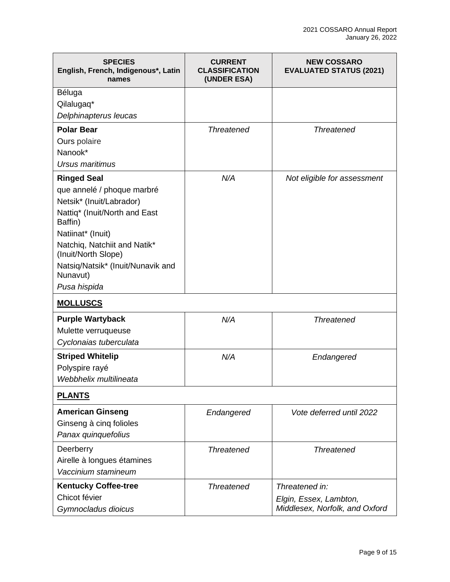| <b>SPECIES</b><br>English, French, Indigenous*, Latin<br>names | <b>CURRENT</b><br><b>CLASSIFICATION</b><br>(UNDER ESA) | <b>NEW COSSARO</b><br><b>EVALUATED STATUS (2021)</b>     |
|----------------------------------------------------------------|--------------------------------------------------------|----------------------------------------------------------|
| Béluga                                                         |                                                        |                                                          |
| Qilalugaq*<br>Delphinapterus leucas                            |                                                        |                                                          |
| <b>Polar Bear</b>                                              | <b>Threatened</b>                                      | <b>Threatened</b>                                        |
| Ours polaire                                                   |                                                        |                                                          |
| Nanook*                                                        |                                                        |                                                          |
| Ursus maritimus                                                |                                                        |                                                          |
| <b>Ringed Seal</b>                                             | N/A                                                    | Not eligible for assessment                              |
| que annelé / phoque marbré                                     |                                                        |                                                          |
| Netsik* (Inuit/Labrador)                                       |                                                        |                                                          |
| Nattiq* (Inuit/North and East<br>Baffin)                       |                                                        |                                                          |
| Natiinat* (Inuit)                                              |                                                        |                                                          |
| Natchiq, Natchiit and Natik*<br>(Inuit/North Slope)            |                                                        |                                                          |
| Natsiq/Natsik* (Inuit/Nunavik and<br>Nunavut)                  |                                                        |                                                          |
| Pusa hispida                                                   |                                                        |                                                          |
| <b>MOLLUSCS</b>                                                |                                                        |                                                          |
| <b>Purple Wartyback</b>                                        | N/A                                                    | <b>Threatened</b>                                        |
| Mulette verruqueuse                                            |                                                        |                                                          |
| Cyclonaias tuberculata                                         |                                                        |                                                          |
| <b>Striped Whitelip</b>                                        | N/A                                                    | Endangered                                               |
| Polyspire rayé                                                 |                                                        |                                                          |
| Webbhelix multilineata                                         |                                                        |                                                          |
| <b>PLANTS</b>                                                  |                                                        |                                                          |
| <b>American Ginseng</b>                                        | Endangered                                             | Vote deferred until 2022                                 |
| Ginseng à cinq folioles                                        |                                                        |                                                          |
| Panax quinquefolius                                            |                                                        |                                                          |
| Deerberry                                                      | <b>Threatened</b>                                      | <b>Threatened</b>                                        |
| Airelle à longues étamines                                     |                                                        |                                                          |
| Vaccinium stamineum                                            |                                                        |                                                          |
| <b>Kentucky Coffee-tree</b>                                    | <b>Threatened</b>                                      | Threatened in:                                           |
| Chicot févier<br>Gymnocladus dioicus                           |                                                        | Elgin, Essex, Lambton,<br>Middlesex, Norfolk, and Oxford |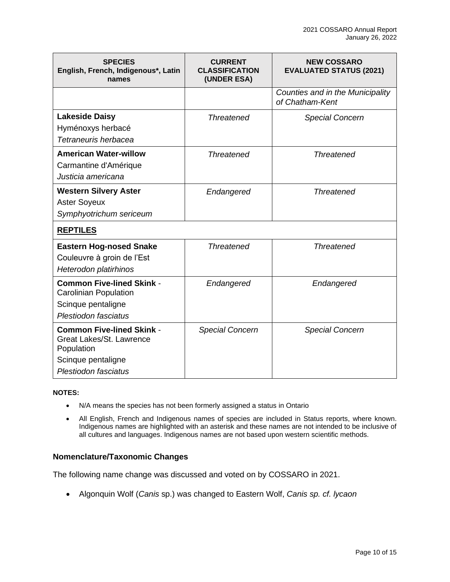| <b>SPECIES</b><br>English, French, Indigenous*, Latin<br>names                                                           | <b>CURRENT</b><br><b>CLASSIFICATION</b><br>(UNDER ESA) | <b>NEW COSSARO</b><br><b>EVALUATED STATUS (2021)</b> |
|--------------------------------------------------------------------------------------------------------------------------|--------------------------------------------------------|------------------------------------------------------|
|                                                                                                                          |                                                        | Counties and in the Municipality<br>of Chatham-Kent  |
| <b>Lakeside Daisy</b><br>Hyménoxys herbacé<br>Tetraneuris herbacea                                                       | <b>Threatened</b>                                      | <b>Special Concern</b>                               |
| <b>American Water-willow</b><br>Carmantine d'Amérique<br>Justicia americana                                              | <b>Threatened</b>                                      | <b>Threatened</b>                                    |
| <b>Western Silvery Aster</b><br><b>Aster Soyeux</b><br>Symphyotrichum sericeum                                           | Endangered                                             | <b>Threatened</b>                                    |
| <b>REPTILES</b>                                                                                                          |                                                        |                                                      |
| <b>Eastern Hog-nosed Snake</b><br>Couleuvre à groin de l'Est<br>Heterodon platirhinos                                    | <b>Threatened</b>                                      | <b>Threatened</b>                                    |
| <b>Common Five-lined Skink -</b><br><b>Carolinian Population</b><br>Scinque pentaligne<br>Plestiodon fasciatus           | Endangered                                             | Endangered                                           |
| <b>Common Five-lined Skink -</b><br>Great Lakes/St. Lawrence<br>Population<br>Scinque pentaligne<br>Plestiodon fasciatus | <b>Special Concern</b>                                 | <b>Special Concern</b>                               |

#### **NOTES:**

- N/A means the species has not been formerly assigned a status in Ontario
- All English, French and Indigenous names of species are included in Status reports, where known. Indigenous names are highlighted with an asterisk and these names are not intended to be inclusive of all cultures and languages. Indigenous names are not based upon western scientific methods.

#### **Nomenclature/Taxonomic Changes**

The following name change was discussed and voted on by COSSARO in 2021.

• Algonquin Wolf (*Canis* sp.) was changed to Eastern Wolf, *Canis sp. cf. lycaon*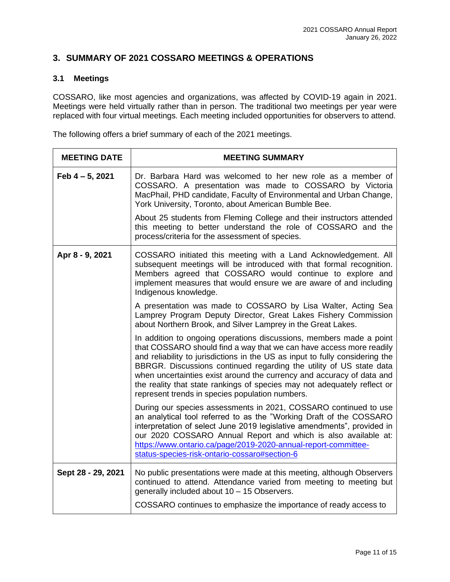#### <span id="page-10-0"></span>**3. SUMMARY OF 2021 COSSARO MEETINGS & OPERATIONS**

#### <span id="page-10-1"></span>**3.1 Meetings**

COSSARO, like most agencies and organizations, was affected by COVID-19 again in 2021. Meetings were held virtually rather than in person. The traditional two meetings per year were replaced with four virtual meetings. Each meeting included opportunities for observers to attend.

The following offers a brief summary of each of the 2021 meetings.

| <b>MEETING DATE</b> | <b>MEETING SUMMARY</b>                                                                                                                                                                                                                                                                                                                                                                                                                                                                                    |
|---------------------|-----------------------------------------------------------------------------------------------------------------------------------------------------------------------------------------------------------------------------------------------------------------------------------------------------------------------------------------------------------------------------------------------------------------------------------------------------------------------------------------------------------|
| Feb 4 - 5, 2021     | Dr. Barbara Hard was welcomed to her new role as a member of<br>COSSARO. A presentation was made to COSSARO by Victoria<br>MacPhail, PHD candidate, Faculty of Environmental and Urban Change,<br>York University, Toronto, about American Bumble Bee.                                                                                                                                                                                                                                                    |
|                     | About 25 students from Fleming College and their instructors attended<br>this meeting to better understand the role of COSSARO and the<br>process/criteria for the assessment of species.                                                                                                                                                                                                                                                                                                                 |
| Apr 8 - 9, 2021     | COSSARO initiated this meeting with a Land Acknowledgement. All<br>subsequent meetings will be introduced with that formal recognition.<br>Members agreed that COSSARO would continue to explore and<br>implement measures that would ensure we are aware of and including<br>Indigenous knowledge.                                                                                                                                                                                                       |
|                     | A presentation was made to COSSARO by Lisa Walter, Acting Sea<br>Lamprey Program Deputy Director, Great Lakes Fishery Commission<br>about Northern Brook, and Silver Lamprey in the Great Lakes.                                                                                                                                                                                                                                                                                                          |
|                     | In addition to ongoing operations discussions, members made a point<br>that COSSARO should find a way that we can have access more readily<br>and reliability to jurisdictions in the US as input to fully considering the<br>BBRGR. Discussions continued regarding the utility of US state data<br>when uncertainties exist around the currency and accuracy of data and<br>the reality that state rankings of species may not adequately reflect or<br>represent trends in species population numbers. |
|                     | During our species assessments in 2021, COSSARO continued to use<br>an analytical tool referred to as the "Working Draft of the COSSARO<br>interpretation of select June 2019 legislative amendments", provided in<br>our 2020 COSSARO Annual Report and which is also available at:<br>https://www.ontario.ca/page/2019-2020-annual-report-committee-<br>status-species-risk-ontario-cossaro#section-6                                                                                                   |
| Sept 28 - 29, 2021  | No public presentations were made at this meeting, although Observers<br>continued to attend. Attendance varied from meeting to meeting but<br>generally included about 10 - 15 Observers.                                                                                                                                                                                                                                                                                                                |
|                     | COSSARO continues to emphasize the importance of ready access to                                                                                                                                                                                                                                                                                                                                                                                                                                          |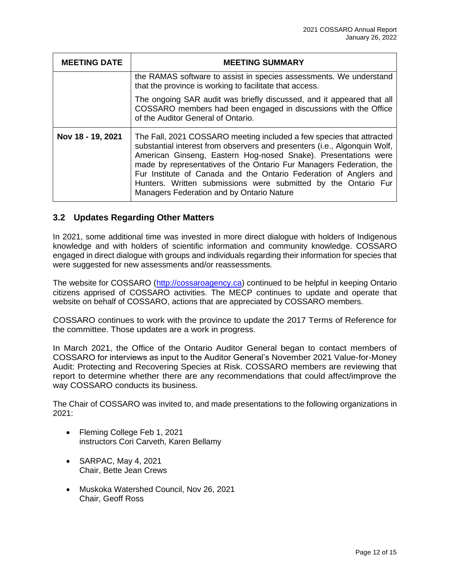| <b>MEETING DATE</b> | <b>MEETING SUMMARY</b>                                                                                                                                                                                                                                                                                                                                                                                                                                                         |
|---------------------|--------------------------------------------------------------------------------------------------------------------------------------------------------------------------------------------------------------------------------------------------------------------------------------------------------------------------------------------------------------------------------------------------------------------------------------------------------------------------------|
|                     | the RAMAS software to assist in species assessments. We understand<br>that the province is working to facilitate that access.                                                                                                                                                                                                                                                                                                                                                  |
|                     | The ongoing SAR audit was briefly discussed, and it appeared that all<br>COSSARO members had been engaged in discussions with the Office<br>of the Auditor General of Ontario.                                                                                                                                                                                                                                                                                                 |
| Nov 18 - 19, 2021   | The Fall, 2021 COSSARO meeting included a few species that attracted<br>substantial interest from observers and presenters (i.e., Algonquin Wolf,<br>American Ginseng, Eastern Hog-nosed Snake). Presentations were<br>made by representatives of the Ontario Fur Managers Federation, the<br>Fur Institute of Canada and the Ontario Federation of Anglers and<br>Hunters. Written submissions were submitted by the Ontario Fur<br>Managers Federation and by Ontario Nature |

#### <span id="page-11-0"></span>**3.2 Updates Regarding Other Matters**

In 2021, some additional time was invested in more direct dialogue with holders of Indigenous knowledge and with holders of scientific information and community knowledge. COSSARO engaged in direct dialogue with groups and individuals regarding their information for species that were suggested for new assessments and/or reassessments.

The website for COSSARO [\(http://cossaroagency.ca\)](http://cossaroagency.ca/) continued to be helpful in keeping Ontario citizens apprised of COSSARO activities. The MECP continues to update and operate that website on behalf of COSSARO, actions that are appreciated by COSSARO members.

COSSARO continues to work with the province to update the 2017 Terms of Reference for the committee. Those updates are a work in progress.

In March 2021, the Office of the Ontario Auditor General began to contact members of COSSARO for interviews as input to the Auditor General's November 2021 Value-for-Money Audit: Protecting and Recovering Species at Risk. COSSARO members are reviewing that report to determine whether there are any recommendations that could affect/improve the way COSSARO conducts its business.

The Chair of COSSARO was invited to, and made presentations to the following organizations in 2021:

- Fleming College Feb 1, 2021 instructors Cori Carveth, Karen Bellamy
- SARPAC, May 4, 2021 Chair, Bette Jean Crews
- Muskoka Watershed Council, Nov 26, 2021 Chair, Geoff Ross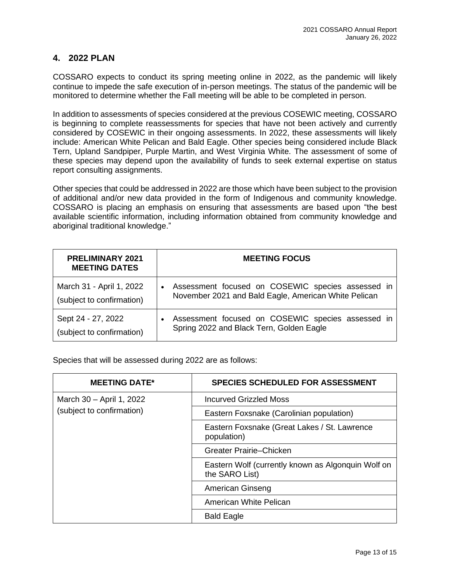#### <span id="page-12-0"></span>**4. 2022 PLAN**

COSSARO expects to conduct its spring meeting online in 2022, as the pandemic will likely continue to impede the safe execution of in-person meetings. The status of the pandemic will be monitored to determine whether the Fall meeting will be able to be completed in person.

In addition to assessments of species considered at the previous COSEWIC meeting, COSSARO is beginning to complete reassessments for species that have not been actively and currently considered by COSEWIC in their ongoing assessments. In 2022, these assessments will likely include: American White Pelican and Bald Eagle. Other species being considered include Black Tern, Upland Sandpiper, Purple Martin, and West Virginia White. The assessment of some of these species may depend upon the availability of funds to seek external expertise on status report consulting assignments.

Other species that could be addressed in 2022 are those which have been subject to the provision of additional and/or new data provided in the form of Indigenous and community knowledge. COSSARO is placing an emphasis on ensuring that assessments are based upon "the best available scientific information, including information obtained from community knowledge and aboriginal traditional knowledge."

| <b>PRELIMINARY 2021</b><br><b>MEETING DATES</b>       | <b>MEETING FOCUS</b>                                                                                                   |
|-------------------------------------------------------|------------------------------------------------------------------------------------------------------------------------|
| March 31 - April 1, 2022<br>(subject to confirmation) | Assessment focused on COSEWIC species assessed in<br>$\bullet$<br>November 2021 and Bald Eagle, American White Pelican |
| Sept 24 - 27, 2022<br>(subject to confirmation)       | Assessment focused on COSEWIC species assessed in<br>Spring 2022 and Black Tern, Golden Eagle                          |

Species that will be assessed during 2022 are as follows:

| <b>MEETING DATE*</b>      | <b>SPECIES SCHEDULED FOR ASSESSMENT</b>                              |
|---------------------------|----------------------------------------------------------------------|
| March 30 - April 1, 2022  | <b>Incurved Grizzled Moss</b>                                        |
| (subject to confirmation) | Eastern Foxsnake (Carolinian population)                             |
|                           | Eastern Foxsnake (Great Lakes / St. Lawrence<br>population)          |
|                           | Greater Prairie–Chicken                                              |
|                           | Eastern Wolf (currently known as Algonquin Wolf on<br>the SARO List) |
|                           | American Ginseng                                                     |
|                           | American White Pelican                                               |
|                           | <b>Bald Eagle</b>                                                    |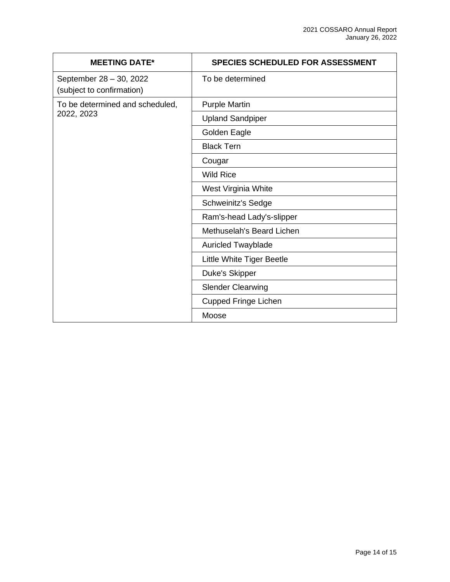| <b>MEETING DATE*</b>                                 | <b>SPECIES SCHEDULED FOR ASSESSMENT</b> |
|------------------------------------------------------|-----------------------------------------|
| September 28 - 30, 2022<br>(subject to confirmation) | To be determined                        |
| To be determined and scheduled,<br>2022, 2023        | <b>Purple Martin</b>                    |
|                                                      | <b>Upland Sandpiper</b>                 |
|                                                      | Golden Eagle                            |
|                                                      | <b>Black Tern</b>                       |
|                                                      | Cougar                                  |
|                                                      | <b>Wild Rice</b>                        |
|                                                      | West Virginia White                     |
|                                                      | Schweinitz's Sedge                      |
|                                                      | Ram's-head Lady's-slipper               |
|                                                      | Methuselah's Beard Lichen               |
|                                                      | <b>Auricled Twayblade</b>               |
|                                                      | Little White Tiger Beetle               |
|                                                      | Duke's Skipper                          |
|                                                      | <b>Slender Clearwing</b>                |
|                                                      | <b>Cupped Fringe Lichen</b>             |
|                                                      | Moose                                   |